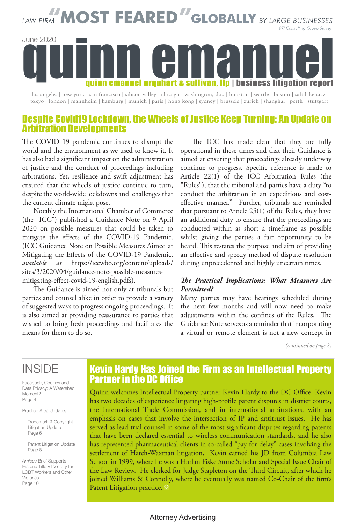# **MOST FEARED GLOBALLY** BY LARGE BUSINESSES **BTI Consulting Group Survey** June 2020 quinn emanuel urquhart & sullivan, llp | business litigation report

los angeles | new york | san francisco | silicon valley | chicago | washington, d.c. | houston | seattle | boston | salt lake city tokyo | london | mannheim | hamburg | munich | paris | hong kong | sydney | brussels | zurich | shanghai | perth | stuttgart

### Despite Covid19 Lockdown, the Wheels of Justice Keep Turning: An Update on Arbitration Developments

The COVID 19 pandemic continues to disrupt the world and the environment as we used to know it. It has also had a significant impact on the administration of justice and the conduct of proceedings including arbitrations. Yet, resilience and swift adjustment has ensured that the wheels of justice continue to turn, despite the world-wide lockdowns and challenges that the current climate might pose.

Notably the International Chamber of Commerce (the "ICC") published a Guidance Note on 9 April 2020 on possible measures that could be taken to mitigate the effects of the COVID-19 Pandemic. (ICC Guidance Note on Possible Measures Aimed at Mitigating the Effects of the COVID-19 Pandemic, *available at* https://iccwbo.org/content/uploads/ sites/3/2020/04/guidance-note-possible-measuresmitigating-effect-covid-19-english.pdfs).

The Guidance is aimed not only at tribunals but parties and counsel alike in order to provide a variety of suggested ways to progress ongoing proceedings. It is also aimed at providing reassurance to parties that wished to bring fresh proceedings and facilitates the means for them to do so.

The ICC has made clear that they are fully operational in these times and that their Guidance is aimed at ensuring that proceedings already underway continue to progress. Specific reference is made to Article 22(1) of the ICC Arbitration Rules (the "Rules"), that the tribunal and parties have a duty "to conduct the arbitration in an expeditious and costeffective manner." Further, tribunals are reminded that pursuant to Article 25(1) of the Rules, they have an additional duty to ensure that the proceedings are conducted within as short a timeframe as possible whilst giving the parties a fair opportunity to be heard. This restates the purpose and aim of providing an effective and speedy method of dispute resolution during unprecedented and highly uncertain times.

#### *The Practical Implications: What Measures Are Permitted?*

Many parties may have hearings scheduled during the next few months and will now need to make adjustments within the confines of the Rules. The Guidance Note serves as a reminder that incorporating a virtual or remote element is not a new concept in

*(continued on page 2)*

## INSIDE

Facebook, Cookies and Data Privacy: A Watershed Moment? Page 4

Practice Area Updates:

Trademark & Copyright Litigation Update Page 6

Patent Litigation Update Page 8

*Amicus* Brief Supports Historic Title VII Victory for LGBT Workers and Other Victories

### Kevin Hardy Has Joined the Firm as an Intellectual Property Partner in the DC Office

Quinn welcomes Intellectual Property partner Kevin Hardy to the DC Office. Kevin has two decades of experience litigating high-profile patent disputes in district courts, the International Trade Commission, and in international arbitrations, with an emphasis on cases that involve the intersection of IP and antitrust issues. He has served as lead trial counsel in some of the most significant disputes regarding patents that have been declared essential to wireless communication standards, and he also has represented pharmaceutical clients in so-called "pay for delay" cases involving the settlement of Hatch-Waxman litigation. Kevin earned his JD from Columbia Law School in 1999, where he was a Harlan Fiske Stone Scholar and Special Issue Chair of the Law Review. He clerked for Judge Stapleton on the Third Circuit, after which he joined Williams & Connolly, where he eventually was named Co-Chair of the firm's Page 10 **Page 10 Patent Litigation practice.** 

#### Attorney Advertising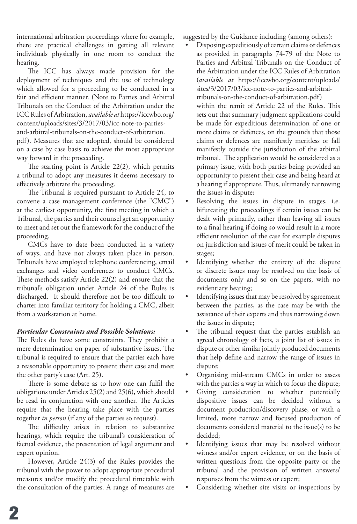international arbitration proceedings where for example, there are practical challenges in getting all relevant individuals physically in one room to conduct the hearing.

The ICC has always made provision for the deployment of techniques and the use of technology which allowed for a proceeding to be conducted in a fair and efficient manner. (Note to Parties and Arbitral Tribunals on the Conduct of the Arbitration under the ICC Rules of Arbitration, *available at* https://iccwbo.org/ content/uploads/sites/3/2017/03/icc-note-to-partiesand-arbitral-tribunals-on-the-conduct-of-arbitration. pdf). Measures that are adopted, should be considered

on a case by case basis to achieve the most appropriate way forward in the proceeding.

The starting point is Article 22(2), which permits a tribunal to adopt any measures it deems necessary to effectively arbitrate the proceeding.

The Tribunal is required pursuant to Article 24, to convene a case management conference (the "CMC") at the earliest opportunity, the first meeting in which a Tribunal, the parties and their counsel get an opportunity to meet and set out the framework for the conduct of the proceeding.

CMCs have to date been conducted in a variety of ways, and have not always taken place in person. Tribunals have employed telephone conferencing, email exchanges and video conferences to conduct CMCs. These methods satisfy Article 22(2) and ensure that the tribunal's obligation under Article 24 of the Rules is discharged. It should therefore not be too difficult to charter into familiar territory for holding a CMC, albeit from a workstation at home.

#### *Particular Constraints and Possible Solutions:*

The Rules do have some constraints. They prohibit a mere determination on paper of substantive issues. The tribunal is required to ensure that the parties each have a reasonable opportunity to present their case and meet the other party's case (Art. 25).

There is some debate as to how one can fulfil the obligations under Articles 25(2) and 25(6), which should be read in conjunction with one another. The Articles require that the hearing take place with the parties together *in person* (if any of the parties so request).

The difficulty arises in relation to substantive hearings, which require the tribunal's consideration of factual evidence, the presentation of legal argument and expert opinion.

However, Article 24(3) of the Rules provides the tribunal with the power to adopt appropriate procedural measures and/or modify the procedural timetable with the consultation of the parties. A range of measures are suggested by the Guidance including (among others):

- Disposing expeditiously of certain claims or defences as provided in paragraphs 74-79 of the Note to Parties and Arbitral Tribunals on the Conduct of the Arbitration under the ICC Rules of Arbitration (*available at* https://iccwbo.org/content/uploads/ sites/3/2017/03/icc-note-to-parties-and-arbitraltribunals-on-the-conduct-of-arbitration.pdf) within the remit of Article 22 of the Rules. This sets out that summary judgment applications could be made for expeditious determination of one or more claims or defences, on the grounds that those claims or defences are manifestly meritless or fall manifestly outside the jurisdiction of the arbitral tribunal. The application would be considered as a primary issue, with both parties being provided an opportunity to present their case and being heard at a hearing if appropriate. Thus, ultimately narrowing the issues in dispute;
- Resolving the issues in dispute in stages, i.e. bifurcating the proceedings if certain issues can be dealt with primarily, rather than leaving all issues to a final hearing if doing so would result in a more efficient resolution of the case for example disputes on jurisdiction and issues of merit could be taken in stages;
- Identifying whether the entirety of the dispute or discrete issues may be resolved on the basis of documents only and so on the papers, with no evidentiary hearing;
- Identifying issues that may be resolved by agreement between the parties, as the case may be with the assistance of their experts and thus narrowing down the issues in dispute;
- The tribunal request that the parties establish an agreed chronology of facts, a joint list of issues in dispute or other similar jointly produced documents that help define and narrow the range of issues in dispute;
- Organising mid-stream CMCs in order to assess with the parties a way in which to focus the dispute;
- Giving consideration to whether potentially dispositive issues can be decided without a document production/discovery phase, or with a limited, more narrow and focused production of documents considered material to the issue(s) to be decided;
- Identifying issues that may be resolved without witness and/or expert evidence, or on the basis of written questions from the opposite party or the tribunal and the provision of written answers/ responses from the witness or expert;
- Considering whether site visits or inspections by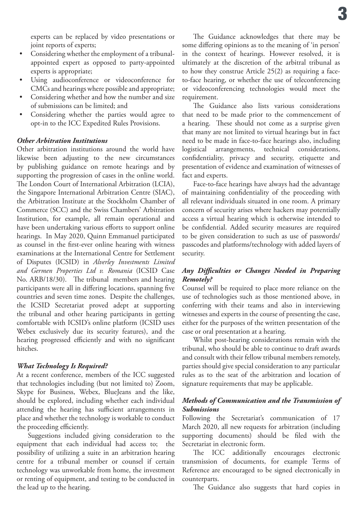experts can be replaced by video presentations or joint reports of experts;

- Considering whether the employment of a tribunalappointed expert as opposed to party-appointed experts is appropriate;
- Using audioconference or videoconference for CMCs and hearings where possible and appropriate;
- Considering whether and how the number and size of submissions can be limited; and
- Considering whether the parties would agree to opt-in to the ICC Expedited Rules Provisions.

#### *Other Arbitration Institutions*

Other arbitration institutions around the world have likewise been adjusting to the new circumstances by publishing guidance on remote hearings and by supporting the progression of cases in the online world. The London Court of International Arbitration (LCIA), the Singapore International Arbitration Centre (SIAC), the Arbitration Institute at the Stockholm Chamber of Commerce (SCC) and the Swiss Chambers' Arbitration Institution, for example, all remain operational and have been undertaking various efforts to support online hearings. In May 2020, Quinn Emmanuel participated as counsel in the first-ever online hearing with witness examinations at the International Centre for Settlement of Disputes (ICSID) in *Alverley Investments Limited and Germen Properties Ltd v. Romania* (ICSID Case No. ARB/18/30). The tribunal members and hearing participants were all in differing locations, spanning five countries and seven time zones. Despite the challenges, the ICSID Secretariat proved adept at supporting the tribunal and other hearing participants in getting comfortable with ICSID's online platform (ICSID uses Webex exclusively due its security features), and the hearing progressed efficiently and with no significant hitches.

#### *What Technology Is Required?*

At a recent conference, members of the ICC suggested that technologies including (but not limited to) Zoom, Skype for Business, Webex, BlueJeans and the like, should be explored, including whether each individual attending the hearing has sufficient arrangements in place and whether the technology is workable to conduct the proceeding efficiently.

Suggestions included giving consideration to the equipment that each individual had access to; the possibility of utilizing a suite in an arbitration hearing centre for a tribunal member or counsel if certain technology was unworkable from home, the investment or renting of equipment, and testing to be conducted in the lead up to the hearing.

The Guidance acknowledges that there may be some differing opinions as to the meaning of 'in person' in the context of hearings. However resolved, it is ultimately at the discretion of the arbitral tribunal as to how they construe Article 25(2) as requiring a faceto-face hearing, or whether the use of teleconferencing or videoconferencing technologies would meet the requirement.

The Guidance also lists various considerations that need to be made prior to the commencement of a hearing. These should not come as a surprise given that many are not limited to virtual hearings but in fact need to be made in face-to-face hearings also, including logistical arrangements, technical considerations, confidentiality, privacy and security, etiquette and presentation of evidence and examination of witnesses of fact and experts.

Face-to-face hearings have always had the advantage of maintaining confidentiality of the proceeding with all relevant individuals situated in one room. A primary concern of security arises where hackers may potentially access a virtual hearing which is otherwise intended to be confidential. Added security measures are required to be given consideration to such as use of passwords/ passcodes and platforms/technology with added layers of security.

#### *Any Difficulties or Changes Needed in Preparing Remotely?*

Counsel will be required to place more reliance on the use of technologies such as those mentioned above, in conferring with their teams and also in interviewing witnesses and experts in the course of presenting the case, either for the purposes of the written presentation of the case or oral presentation at a hearing.

Whilst post-hearing considerations remain with the tribunal, who should be able to continue to draft awards and consult with their fellow tribunal members remotely, parties should give special consideration to any particular rules as to the seat of the arbitration and location of signature requirements that may be applicable.

#### *Methods of Communication and the Transmission of Submissions*

Following the Secretariat's communication of 17 March 2020, all new requests for arbitration (including supporting documents) should be filed with the Secretariat in electronic form.

The ICC additionally encourages electronic transmission of documents, for example Terms of Reference are encouraged to be signed electronically in counterparts.

The Guidance also suggests that hard copies in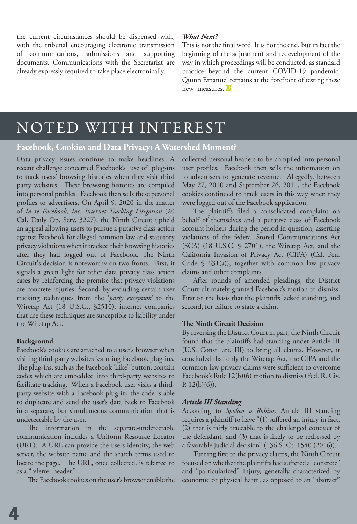the current circumstances should be dispensed with, with the tribunal encouraging electronic transmission of communications, submissions and supporting documents. Communications with the Secretariat are already expressly required to take place electronically.

#### *What Next?*

This is not the final word. It is not the end, but in fact the beginning of the adjustment and redevelopment of the way in which proceedings will be conducted, as standard practice beyond the current COVID-19 pandemic. Quinn Emanuel remains at the forefront of testing these new measures. **Q**

# NOTED WITH INTEREST

#### **Facebook, Cookies and Data Privacy: A Watershed Moment?**

Data privacy issues continue to make headlines. A recent challenge concerned Facebook's use of plug-ins to track users' browsing histories when they visit third party websites. These browsing histories are compiled into personal profiles. Facebook then sells these personal profiles to advertisers. On April 9, 2020 in the matter of *In re Facebook, Inc. Internet Tracking Litigation* (20 Cal. Daily Op. Serv. 3227), the Ninth Circuit upheld an appeal allowing users to pursue a putative class action against Facebook for alleged common law and statutory privacy violations when it tracked their browsing histories after they had logged out of Facebook. The Ninth Circuit's decision is noteworthy on two fronts. First, it signals a green light for other data privacy class action cases by reinforcing the premise that privacy violations are concrete injuries. Second, by excluding certain user tracking techniques from the '*party exception'*  to the Wiretap Act (18 U.S.C., §2510), internet companies that use these techniques are susceptible to liability under the Wiretap Act.

#### **Background**

Facebook's cookies are attached to a user's browser when visiting third-party websites featuring Facebook plug-ins. The plug-ins, such as the Facebook 'Like" button, contain codes which are embedded into third-party websites to facilitate tracking. When a Facebook user visits a thirdparty website with a Facebook plug-in, the code is able to duplicate and send the user's data back to Facebook in a separate, but simultaneous communication that is undetectable by the user.

The information in the separate-undetectable communication includes a Uniform Resource Locator (URL). A URL can provide the users identity, the web server, the website name and the search terms used to locate the page. The URL, once collected, is referred to as a "referrer header."

The Facebook cookies on the user's browser enable the

collected personal headers to be compiled into personal user profiles. Facebook then sells the information on to advertisers to generate revenue. Allegedly, between May 27, 2010 and September 26, 2011, the Facebook cookies continued to track users in this way when they were logged out of the Facebook application.

The plaintiffs filed a consolidated complaint on behalf of themselves and a putative class of Facebook account holders during the period in question, asserting violations of the federal Stored Communications Act (SCA) (18 U.S.C. § 2701), the Wiretap Act, and the California Invasion of Privacy Act (CIPA) (Cal. Pen. Code  $\S$  631(a)), together with common law privacy claims and other complaints.

After rounds of amended pleadings, the District Court ultimately granted Facebook's motion to dismiss. First on the basis that the plaintiffs lacked standing, and second, for failure to state a claim.

#### **The Ninth Circuit Decision**

By reversing the District Court in part, the Ninth Circuit found that the plaintiffs had standing under Article III (U.S. Const. art. III) to bring all claims. However, it concluded that only the Wiretap Act, the CIPA and the common law privacy claims were sufficient to overcome Facebook's Rule 12(b)(6) motion to dismiss (Fed. R. Civ. P.  $12(b)(6)$ ).

#### *Article III Standing*

According to *Spokeo v Robins,* Article III standing requires a plaintiff to have "(1) suffered an injury in fact, (2) that is fairly traceable to the challenged conduct of the defendant, and (3) that is likely to be redressed by a favorable judicial decision" (136 S. Ct. 1540 (2016))*.* 

Turning first to the privacy claims, the Ninth Circuit focused on whether the plaintiffs had suffered a "concrete" and "particularized" injury, generally characterized by economic or physical harm, as opposed to an "abstract"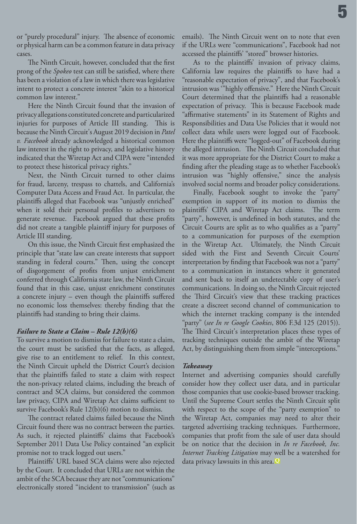or "purely procedural" injury. The absence of economic or physical harm can be a common feature in data privacy cases.

The Ninth Circuit, however, concluded that the first prong of the *Spokeo* test can still be satisfied, where there has been a violation of a law in which there was legislative intent to protect a concrete interest "akin to a historical common law interest."

Here the Ninth Circuit found that the invasion of privacy allegations constituted concrete and particularized injuries for purposes of Article III standing. This is because the Ninth Circuit's August 2019 decision in *Patel v. Facebook* already acknowledged a historical common law interest in the right to privacy, and legislative history indicated that the Wiretap Act and CIPA were "intended to protect these historical privacy rights."

Next, the Ninth Circuit turned to other claims for fraud, larceny, trespass to chattels, and California's Computer Data Access and Fraud Act. In particular, the plaintiffs alleged that Facebook was "unjustly enriched" when it sold their personal profiles to advertisers to generate revenue. Facebook argued that these profits did not create a tangible plaintiff injury for purposes of Article III standing.

On this issue, the Ninth Circuit first emphasized the principle that "state law can create interests that support standing in federal courts." Then, using the concept of disgorgement of profits from unjust enrichment conferred through California state law, the Ninth Circuit found that in this case, unjust enrichment constitutes a concrete injury – even though the plaintiffs suffered no economic loss themselves: thereby finding that the plaintiffs had standing to bring their claims.

#### *Failure to State a Claim – Rule 12(b)(6)*

To survive a motion to dismiss for failure to state a claim, the court must be satisfied that the facts, as alleged, give rise to an entitlement to relief. In this context, the Ninth Circuit upheld the District Court's decision that the plaintiffs failed to state a claim with respect the non-privacy related claims, including the breach of contract and SCA claims, but considered the common law privacy, CIPA and Wiretap Act claims sufficient to survive Facebook's Rule 12(b)(6) motion to dismiss.

The contract related claims failed because the Ninth Circuit found there was no contract between the parties. As such, it rejected plaintiffs' claims that Facebook's September 2011 Data Use Policy contained "an explicit promise not to track logged out users."

Plaintiffs' URL based SCA claims were also rejected by the Court. It concluded that URLs are not within the ambit of the SCA because they are not "communications" electronically stored "incident to transmission" (such as emails). The Ninth Circuit went on to note that even if the URLs were "communications", Facebook had not accessed the plaintiffs' "stored" browser histories.

As to the plaintiffs' invasion of privacy claims, California law requires the plaintiffs to have had a "reasonable expectation of privacy", and that Facebook's intrusion was '"highly offensive." Here the Ninth Circuit Court determined that the plaintiffs had a reasonable expectation of privacy. This is because Facebook made "affirmative statements" in its Statement of Rights and Responsibilities and Data Use Policies that it would not collect data while users were logged out of Facebook. Here the plaintiffs were "logged-out" of Facebook during the alleged intrusion. The Ninth Circuit concluded that it was more appropriate for the District Court to make a finding after the pleading stage as to whether Facebook's intrusion was "highly offensive," since the analysis involved social norms and broader policy considerations.

Finally, Facebook sought to invoke the "party" exemption in support of its motion to dismiss the plaintiffs' CIPA and Wiretap Act claims. The term "party", however, is undefined in both statutes, and the Circuit Courts are split as to who qualifies as a "party" to a communication for purposes of the exemption in the Wiretap Act. Ultimately, the Ninth Circuit sided with the First and Seventh Circuit Courts' interpretation by finding that Facebook was not a "party" to a communication in instances where it generated and sent back to itself an undetectable copy of user's communications. In doing so, the Ninth Circuit rejected the Third Circuit's view that these tracking practices create a discreet second channel of communication to which the internet tracking company is the intended "party" (*see In re Google Cookies*, 806 F.3d 125 (2015)). The Third Circuit's interpretation places these types of tracking techniques outside the ambit of the Wiretap Act, by distinguishing them from simple "interceptions."

#### *Takeaway*

Internet and advertising companies should carefully consider how they collect user data, and in particular those companies that use cookie-based browser tracking. Until the Supreme Court settles the Ninth Circuit split with respect to the scope of the "party exemption" to the Wiretap Act, companies may need to alter their targeted advertising tracking techniques. Furthermore, companies that profit from the sale of user data should be on notice that the decision in *In re Facebook, Inc. Internet Tracking Litigation* may well be a watershed for data privacy lawsuits in this area. **Q**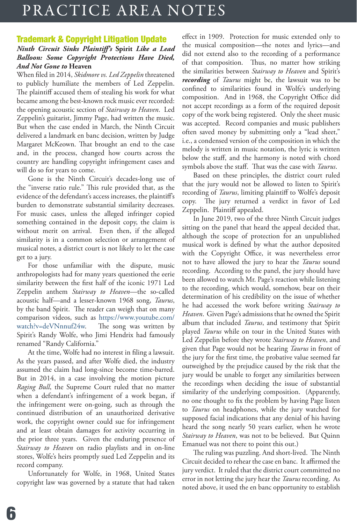# PRACTICE AREA NOTES

## Trademark & Copyright Litigation Update

#### *Ninth Circuit Sinks Plaintiff's* **Spirit** *Like a Lead Balloon: Some Copyright Protections Have Died, And Not Gone to* **Heaven**

When filed in 2014, *Skidmore vs. Led Zeppelin* threatened to publicly humiliate the members of Led Zeppelin. The plaintiff accused them of stealing his work for what became among the best-known rock music ever recorded: the opening acoustic section of *Stairway to Heaven*. Led Zeppelin's guitarist, Jimmy Page, had written the music. But when the case ended in March, the Ninth Circuit delivered a landmark en banc decision, written by Judge Margaret McKeown. That brought an end to the case and, in the process, changed how courts across the country are handling copyright infringement cases and will do so for years to come.

Gone is the Ninth Circuit's decades-long use of the "inverse ratio rule." This rule provided that, as the evidence of the defendant's access increases, the plaintiff's burden to demonstrate substantial similarity decreases. For music cases, unless the alleged infringer copied something contained in the deposit copy, the claim is without merit on arrival. Even then, if the alleged similarity is in a common selection or arrangement of musical notes, a district court is not likely to let the case get to a jury.

For those unfamiliar with the dispute, music anthropologists had for many years questioned the eerie similarity between the first half of the iconic 1971 Led Zeppelin anthem *Stairway to Heaven*—the so-called acoustic half—and a lesser-known 1968 song, *Taurus*, by the band Spirit. The reader can weigh that on many comparison videos, such as https://www.youtube.com/ watch?v=deVNnnuf24w. The song was written by Spirit's Randy Wolfe, who Jimi Hendrix had famously renamed "Randy California."

At the time, Wolfe had no interest in filing a lawsuit. As the years passed, and after Wolfe died, the industry assumed the claim had long-since become time-barred. But in 2014, in a case involving the motion picture *Raging Bull*, the Supreme Court ruled that no matter when a defendant's infringement of a work began, if the infringement were on-going, such as through the continued distribution of an unauthorized derivative work, the copyright owner could sue for infringement and at least obtain damages for activity occurring in the prior three years. Given the enduring presence of *Stairway to Heaven* on radio playlists and in on-line stores, Wolfe's heirs promptly sued Led Zeppelin and its record company.

Unfortunately for Wolfe, in 1968, United States copyright law was governed by a statute that had taken effect in 1909. Protection for music extended only to the musical composition—the notes and lyrics—and did not extend also to the recording of a performance of that composition. Thus, no matter how striking the similarities between *Stairway to Heaven* and Spirit's *recording* of *Taurus* might be, the lawsuit was to be confined to similarities found in Wolfe's underlying composition. And in 1968, the Copyright Office did not accept recordings as a form of the required deposit copy of the work being registered. Only the sheet music was accepted. Record companies and music publishers often saved money by submitting only a "lead sheet," i.e., a condensed version of the composition in which the melody is written in music notation, the lyric is written below the staff, and the harmony is noted with chord symbols above the staff. That was the case with *Taurus*.

Based on these principles, the district court ruled that the jury would not be allowed to listen to Spirit's recording of *Taurus*, limiting plaintiff to Wolfe's deposit copy. The jury returned a verdict in favor of Led Zeppelin. Plaintiff appealed.

In June 2019, two of the three Ninth Circuit judges sitting on the panel that heard the appeal decided that, although the scope of protection for an unpublished musical work is defined by what the author deposited with the Copyright Office, it was nevertheless error not to have allowed the jury to hear the *Taurus* sound recording. According to the panel, the jury should have been allowed to watch Mr. Page's reaction while listening to the recording, which would, somehow, bear on their determination of his credibility on the issue of whether he had accessed the work before writing *Stairway to Heaven*. Given Page's admissions that he owned the Spirit album that included *Taurus*, and testimony that Spirit played *Taurus* while on tour in the United States with Led Zeppelin before they wrote *Stairway to Heaven*, and given that Page would not be hearing *Taurus* in front of the jury for the first time, the probative value seemed far outweighed by the prejudice caused by the risk that the jury would be unable to forget any similarities between the recordings when deciding the issue of substantial similarity of the underlying composition. (Apparently, no one thought to fix the problem by having Page listen to *Taurus* on headphones, while the jury watched for supposed facial indications that any denial of his having heard the song nearly 50 years earlier, when he wrote *Stairway to Heaven*, was not to be believed. But Quinn Emanuel was not there to point this out.)

The ruling was puzzling. And short-lived. The Ninth Circuit decided to rehear the case en banc. It affirmed the jury verdict. It ruled that the district court committed no error in not letting the jury hear the *Taurus* recording. As noted above, it used the en banc opportunity to establish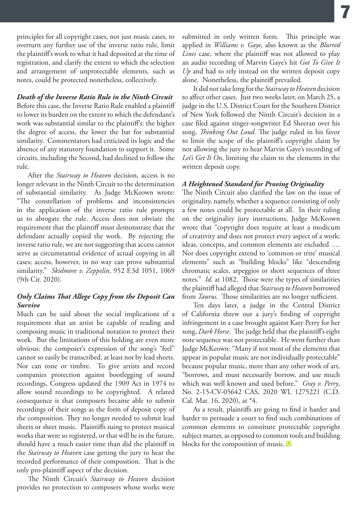principles for all copyright cases, not just music cases, to overturn any further use of the inverse ratio rule, limit the plaintiff's work to what it had deposited at the time of registration, and clarify the extent to which the selection and arrangement of unprotectable elements, such as notes, could be protected nonetheless, collectively.

#### *Death of the Inverse Ratio Rule in the Ninth Circuit*

Before this case, the Inverse Ratio Rule enabled a plaintiff to lower its burden on the extent to which the defendant's work was substantial similar to the plaintiff's: the higher the degree of access, the lower the bar for substantial similarity. Commentators had criticized its logic and the absence of any statutory foundation to support it. Some circuits, including the Second, had declined to follow the rule.

After the *Stairway to Heaven* decision, access is no longer relevant in the Ninth Circuit to the determination of substantial similarity. As Judge McKeown wrote: "The constellation of problems and inconsistencies in the application of the inverse ratio rule prompts us to abrogate the rule. Access does not obviate the requirement that the plaintiff must demonstrate that the defendant actually copied the work. By rejecting the inverse ratio rule, we are not suggesting that access cannot serve as circumstantial evidence of actual copying in all cases; access, however, in no way can prove substantial similarity." *Skidmore v. Zeppelin*, 952 F.3d 1051, 1069 (9th Cir. 2020).

#### *Only Claims That Allege Copy from the Deposit Can Survive*

Much can be said about the social implications of a requirement that an artist be capable of reading and composing music in traditional notation to protect their work. But the limitations of this holding are even more obvious: the composer's expression of the song's "feel" cannot so easily be transcribed, at least not by lead sheets. Nor can tone or timbre. To give artists and record companies protection against bootlegging of sound recordings, Congress updated the 1909 Act in 1974 to allow sound recordings to be copyrighted. A related consequence is that composers became able to submit recordings of their songs as the form of deposit copy of the composition. They no longer needed to submit lead sheets or sheet music. Plaintiffs suing to protect musical works that were so registered, or that will be in the future, should have a much easier time than did the plaintiff in the *Stairway to Heaven* case getting the jury to hear the recorded performance of their composition. That is the only pro-plaintiff aspect of the decision.

The Ninth Circuit's *Stairway to Heaven* decision provides no protection to composers whose works were

submitted in only written form. This principle was applied in *Williams v. Gaye*, also known as the *Blurred Lines* case, where the plaintiff was not allowed to play an audio recording of Marvin Gaye's hit *Got To Give It Up* and had to rely instead on the written deposit copy alone. Nonetheless, the plaintiff prevailed.

It did not take long for the *Stairway to Heaven* decision to affect other cases. Just two weeks later, on March 25, a judge in the U.S. District Court for the Southern District of New York followed the Ninth Circuit's decision in a case filed against singer-songwriter Ed Sheeran over his song, *Thinking Out Loud*. The judge ruled in his favor to limit the scope of the plaintiff's copyright claim by not allowing the jury to hear Marvin Gaye's recording of *Let's Get It On*, limiting the claim to the elements in the written deposit copy.

#### *A Heightened Standard for Proving Originality*

The Ninth Circuit also clarified the law on the issue of originality, namely, whether a sequence consisting of only a few notes could be protectable at all. In their ruling on the originality jury instructions, Judge McKeown wrote that "copyright does require at least a modicum of creativity and does not protect every aspect of a work; ideas, concepts, and common elements are excluded …. Nor does copyright extend to 'common or trite' musical elements" such as "building blocks" like "descending chromatic scales, arpeggios or short sequences of three notes." *Id*. at 1082. Those were the types of similarities the plaintiff had alleged that *Stairway to Heaven* borrowed from *Taurus*. Those similarities are no longer sufficient.

Ten days later, a judge in the Central District of California threw out a jury's finding of copyright infringement in a case brought against Katy Perry for her song, *Dark Horse*. The judge held that the plaintiff's eight note sequence was not protectable. He went further than Judge McKeown: "Many if not most of the elements that appear in popular music are not individually protectable" because popular music, more than any other work of art, "borrows, and must necessarily borrow, and use much which was well known and used before." *Gray v. Perry*, No. 2-15-CV-05642 CAS, 2020 WL 1275221 (C.D. Cal. Mar. 16, 2020), at \*4.

As a result, plaintiffs are going to find it harder and harder to persuade a court to find such combinations of common elements to constitute protectable copyright subject matter, as opposed to common tools and building blocks for the composition of music. **Q**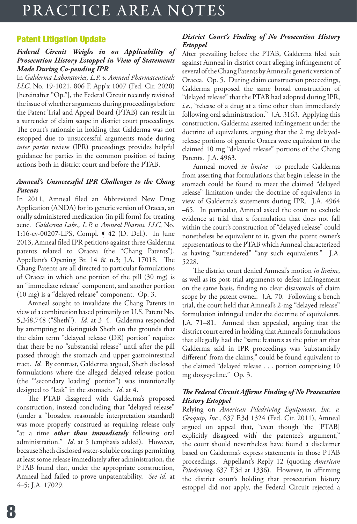# PRACTICE AREA NOTES

### Patent Litigation Update

#### *Federal Circuit Weighs in on Applicability of Prosecution History Estoppel in View of Statements Made During Co-pending IPR*

In *Galderma Laboratories, L.P. v. Amneal Pharmaceuticals LLC*, No. 19-1021, 806 F. App'x 1007 (Fed. Cir. 2020) [hereinafter "Op."], the Federal Circuit recently revisited the issue of whether arguments during proceedings before the Patent Trial and Appeal Board (PTAB) can result in a surrender of claim scope in district court proceedings. The court's rationale in holding that Galderma was not estopped due to unsuccessful arguments made during *inter partes* review (IPR) proceedings provides helpful guidance for parties in the common position of facing actions both in district court and before the PTAB.

#### *Amneal's Unsuccessful IPR Challenges to the Chang Patents*

In 2011, Amneal filed an Abbreviated New Drug Application (ANDA) for its generic version of Oracea, an orally administered medication (in pill form) for treating acne. *Galderma Labs., L.P. v. Amneal Pharms. LLC*, No. 1:16-cv-00207-LPS, Compl. ¶ 42 (D. Del.). In June 2013, Amneal filed IPR petitions against three Galderma patents related to Oracea (the "Chang Patents"). Appellant's Opening Br. 14 & n.3; J.A. 17018. The Chang Patents are all directed to particular formulations of Oracea in which one portion of the pill (30 mg) is an "immediate release" component, and another portion (10 mg) is a "delayed release" component. Op. 3.

Amneal sought to invalidate the Chang Patents in view of a combination based primarily on U.S. Patent No. 5,348,748 ("Sheth"). *Id.* at 3–4. Galderma responded by attempting to distinguish Sheth on the grounds that the claim term "delayed release (DR) portion" requires that there be no "substantial release" until after the pill passed through the stomach and upper gastrointestinal tract. *Id.* By contrast, Galderma argued, Sheth disclosed formulations where the alleged delayed release potion (the "'secondary loading' portion") was intentionally designed to "leak" in the stomach. *Id*. at 4.

The PTAB disagreed with Galderma's proposed construction, instead concluding that "delayed release" (under a "broadest reasonable interpretation standard) was more properly construed as requiring release only "at a time *other than immediately* following oral administration." *Id*. at 5 (emphasis added). However, because Sheth disclosed water-soluble coatings permitting at least some release immediately after administration, the PTAB found that, under the appropriate construction, Amneal had failed to prove unpatentability. *See id*. at 4–5; J.A. 17029.

#### *District Court's Finding of No Prosecution History Estoppel*

After prevailing before the PTAB, Galderma filed suit against Amneal in district court alleging infringement of several of the Chang Patents by Amneal's generic version of Oracea. Op. 5. During claim construction proceedings, Galderma proposed the same broad construction of "delayed release" that the PTAB had adopted during IPR, *i.e*., "release of a drug at a time other than immediately following oral administration." J.A. 3163. Applying this construction, Galderma asserted infringement under the doctrine of equivalents, arguing that the 2 mg delayedrelease portions of generic Oracea were equivalent to the claimed 10 mg "delayed release" portions of the Chang Patents. J.A. 4963.

Amneal moved *in limine* to preclude Galderma from asserting that formulations that begin release in the stomach could be found to meet the claimed "delayed release" limitation under the doctrine of equivalents in view of Galderma's statements during IPR. J.A. 4964 –65. In particular, Amneal asked the court to exclude evidence at trial that a formulation that does not fall within the court's construction of "delayed release" could nonetheless be equivalent to it, given the patent owner's representations to the PTAB which Amneal characterized as having "surrendered" "any such equivalents." J.A. 5228.

The district court denied Amneal's motion *in limine*, as well as its post-trial arguments to defeat infringement on the same basis, finding no clear disavowals of claim scope by the patent owner. J.A. 70. Following a bench trial, the court held that Amneal's 2-mg "delayed release" formulation infringed under the doctrine of equivalents. J.A. 71–81. Amneal then appealed, arguing that the district court erred in holding that Amneal's formulations that allegedly had the "same features as the prior art that Galderma said in IPR proceedings was 'substantially different' from the claims," could be found equivalent to the claimed "delayed release . . . portion comprising 10 mg doxycycline." Op. 3.

#### *The Federal Circuit Affirms Finding of No Prosecution History Estoppel*

Relying on *American Piledriving Equipment, Inc. v. Geoquip, Inc.*, 637 F.3d 1324 (Fed. Cir. 2011), Amneal argued on appeal that, "even though 'the [PTAB] explicitly disagreed with' the patentee's argument," the court should nevertheless have found a disclaimer based on Galderma's express statements in those PTAB proceedings. Appellant's Reply 12 (quoting *American Piledriving*, 637 F.3d at 1336). However, in affirming the district court's holding that prosecution history estoppel did not apply, the Federal Circuit rejected a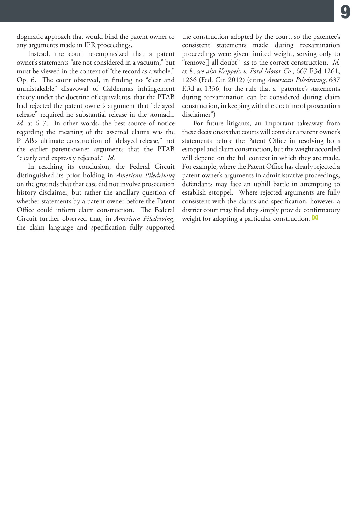dogmatic approach that would bind the patent owner to any arguments made in IPR proceedings.

Instead, the court re-emphasized that a patent owner's statements "are not considered in a vacuum," but must be viewed in the context of "the record as a whole." Op. 6. The court observed, in finding no "clear and unmistakable" disavowal of Galderma's infringement theory under the doctrine of equivalents, that the PTAB had rejected the patent owner's argument that "delayed release" required no substantial release in the stomach. *Id.* at 6–7. In other words, the best source of notice regarding the meaning of the asserted claims was the PTAB's ultimate construction of "delayed release," not the earlier patent-owner arguments that the PTAB "clearly and expressly rejected." *Id.*

In reaching its conclusion, the Federal Circuit distinguished its prior holding in *American Piledriving*  on the grounds that that case did not involve prosecution history disclaimer, but rather the ancillary question of whether statements by a patent owner before the Patent Office could inform claim construction. The Federal Circuit further observed that, in *American Piledriving*, the claim language and specification fully supported

the construction adopted by the court, so the patentee's consistent statements made during reexamination proceedings were given limited weight, serving only to "remove[] all doubt" as to the correct construction. *Id.*  at 8; *see also Krippelz v. Ford Motor Co.*, 667 F.3d 1261, 1266 (Fed. Cir. 2012) (citing *American Piledriving*, 637 F.3d at 1336, for the rule that a "patentee's statements during reexamination can be considered during claim construction, in keeping with the doctrine of prosecution disclaimer")

For future litigants, an important takeaway from these decisions is that courts will consider a patent owner's statements before the Patent Office in resolving both estoppel and claim construction, but the weight accorded will depend on the full context in which they are made. For example, where the Patent Office has clearly rejected a patent owner's arguments in administrative proceedings, defendants may face an uphill battle in attempting to establish estoppel. Where rejected arguments are fully consistent with the claims and specification, however, a district court may find they simply provide confirmatory weight for adopting a particular construction. **<sup>Q</sup>**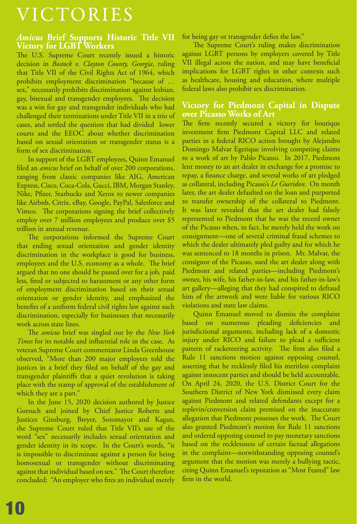# VICTORIES

# *Amicus* **Brief Supports Historic Title VII Victory for LGBT Workers**

The U.S. Supreme Court recently issued a historic decision in *Bostock v. Clayton County, Georgia*, ruling that Title VII of the Civil Rights Act of 1964, which prohibits employment discrimination "because of … sex," necessarily prohibits discrimination against lesbian, gay, bisexual and transgender employees. The decision was a win for gay and transgender individuals who had challenged their terminations under Title VII in a trio of cases, and settled the question that had divided lower courts and the EEOC about whether discrimination based on sexual orientation or transgender status is a form of sex discrimination.

In support of the LGBT employees, Quinn Emanuel filed an *amicus* brief on behalf of over 200 corporations, ranging from classic companies like AIG, American Express, Cisco, Coca-Cola, Gucci, IBM, Morgan Stanley, Nike, Pfizer, Starbucks and Xerox to newer companies like Airbnb, Citrix, eBay, Google, PayPal, Salesforce and Vimeo. The corporations signing the brief collectively employ over 7 million employees and produce over \$5 trillion in annual revenue.

The corporations informed the Supreme Court that ending sexual orientation and gender identity discrimination in the workplace is good for business, employees and the U.S. economy as a whole. The brief argued that no one should be passed over for a job, paid less, fired or subjected to harassment or any other form of employment discrimination based on their sexual orientation or gender identity, and emphasized the benefits of a uniform federal civil rights law against such discrimination, especially for businesses that necessarily work across state lines.

The *amicus* brief was singled out by the *New York Times* for its notable and influential role in the case. As veteran Supreme Court commentator Linda Greenhouse observed, "More than 200 major employers told the justices in a brief they filed on behalf of the gay and transgender plaintiffs that a quiet revolution is taking place with the stamp of approval of the establishment of which they are a part."

In the June 15, 2020 decision authored by Justice Gorsuch and joined by Chief Justice Roberts and Justices Ginsburg, Breyer, Sotomayor and Kagan, the Supreme Court ruled that Title VII's use of the word "sex" necessarily includes sexual orientation and gender identity in its scope. In the Court's words, "it is impossible to discriminate against a person for being homosexual or transgender without discriminating against that individual based on sex." The Court therefore concluded: "An employer who fires an individual merely

for being gay or transgender defies the law."

The Supreme Court's ruling makes discrimination against LGBT persons by employers covered by Title VII illegal across the nation, and may have beneficial implications for LGBT rights in other contexts such as healthcare, housing and education, where multiple federal laws also prohibit sex discrimination.

#### **Victory for Piedmont Capital in Dispute over Picasso Works of Art**

The firm recently secured a victory for boutique investment firm Piedmont Capital LLC and related parties in a federal RICO action brought by Alejandro Domingo Malvar Egerique involving competing claims to a work of art by Pablo Picasso. In 2017, Piedmont lent money to an art dealer in exchange for a promise to repay, a finance charge, and several works of art pledged as collateral, including Picasso's *Le Gueridon*. On month later, the art dealer defaulted on the loan and purported to transfer ownership of the collateral to Piedmont. It was later revealed that the art dealer had falsely represented to Piedmont that he was the record owner of the Picasso when, in fact, he merely held the work on consignment—one of several criminal fraud schemes to which the dealer ultimately pled guilty and for which he was sentenced to 18 months in prison. Mr. Malvar, the consignor of the Picasso, sued the art dealer along with Piedmont and related parties—including Piedmont's owner, his wife, his father-in-law, and his father-in-law's art gallery—alleging that they had conspired to defraud him of the artwork and were liable for various RICO violations and state law claims.

Quinn Emanuel moved to dismiss the complaint based on numerous pleading deficiencies and jurisdictional arguments, including lack of a domestic injury under RICO and failure to plead a sufficient pattern of racketeering activity. The firm also filed a Rule 11 sanctions motion against opposing counsel, asserting that he recklessly filed his meritless complaint against innocent parties and should be held accountable. On April 24, 2020, the U.S. District Court for the Southern District of New York dismissed every claim against Piedmont and related defendants except for a replevin/conversion claim premised on the inaccurate allegation that Piedmont possesses the work. The Court also granted Piedmont's motion for Rule 11 sanctions and ordered opposing counsel to pay monetary sanctions based on the recklessness of certain factual allegations in the complaint—notwithstanding opposing counsel's argument that the motion was merely a bullying tactic, citing Quinn Emanuel's reputation as "Most Feared" law firm in the world.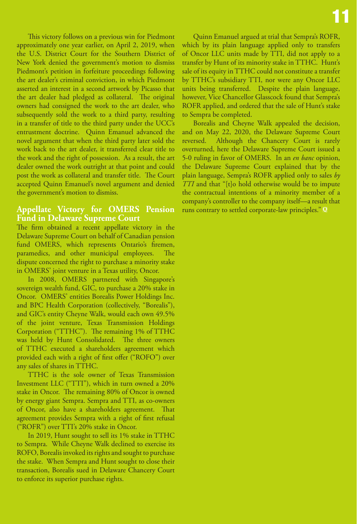This victory follows on a previous win for Piedmont approximately one year earlier, on April 2, 2019, when the U.S. District Court for the Southern District of New York denied the government's motion to dismiss Piedmont's petition in forfeiture proceedings following the art dealer's criminal conviction, in which Piedmont asserted an interest in a second artwork by Picasso that the art dealer had pledged as collateral. The original owners had consigned the work to the art dealer, who subsequently sold the work to a third party, resulting in a transfer of title to the third party under the UCC's entrustment doctrine. Quinn Emanuel advanced the novel argument that when the third party later sold the work back to the art dealer, it transferred clear title to the work and the right of possession. As a result, the art dealer owned the work outright at that point and could post the work as collateral and transfer title. The Court accepted Quinn Emanuel's novel argument and denied the government's motion to dismiss.

#### **Appellate Victory for OMERS Pension Fund in Delaware Supreme Court**

The firm obtained a recent appellate victory in the Delaware Supreme Court on behalf of Canadian pension fund OMERS, which represents Ontario's firemen, paramedics, and other municipal employees. The dispute concerned the right to purchase a minority stake in OMERS' joint venture in a Texas utility, Oncor.

In 2008, OMERS partnered with Singapore's sovereign wealth fund, GIC, to purchase a 20% stake in Oncor. OMERS' entities Borealis Power Holdings Inc. and BPC Health Corporation (collectively, "Borealis"), and GIC's entity Cheyne Walk, would each own 49.5% of the joint venture, Texas Transmission Holdings Corporation ("TTHC"). The remaining 1% of TTHC was held by Hunt Consolidated. The three owners of TTHC executed a shareholders agreement which provided each with a right of first offer ("ROFO") over any sales of shares in TTHC.

TTHC is the sole owner of Texas Transmission Investment LLC ("TTI"), which in turn owned a 20% stake in Oncor. The remaining 80% of Oncor is owned by energy giant Sempra. Sempra and TTI, as co-owners of Oncor, also have a shareholders agreement. That agreement provides Sempra with a right of first refusal ("ROFR") over TTI's 20% stake in Oncor.

In 2019, Hunt sought to sell its 1% stake in TTHC to Sempra. While Cheyne Walk declined to exercise its ROFO, Borealis invoked its rights and sought to purchase the stake. When Sempra and Hunt sought to close their transaction, Borealis sued in Delaware Chancery Court to enforce its superior purchase rights.

Quinn Emanuel argued at trial that Sempra's ROFR, which by its plain language applied only to transfers of Oncor LLC units made by TTI, did not apply to a transfer by Hunt of its minority stake in TTHC. Hunt's sale of its equity in TTHC could not constitute a transfer by TTHC's subsidiary TTI, nor were any Oncor LLC units being transferred. Despite the plain language, however, Vice Chancellor Glasscock found that Sempra's ROFR applied, and ordered that the sale of Hunt's stake to Sempra be completed.

Borealis and Cheyne Walk appealed the decision, and on May 22, 2020, the Delaware Supreme Court reversed. Although the Chancery Court is rarely overturned, here the Delaware Supreme Court issued a 5-0 ruling in favor of OMERS. In an *en banc* opinion, the Delaware Supreme Court explained that by the plain language, Sempra's ROFR applied only to sales *by TTI* and that "[t]o hold otherwise would be to impute the contractual intentions of a minority member of a company's controller to the company itself—a result that runs contrary to settled corporate-law principles." **Q**